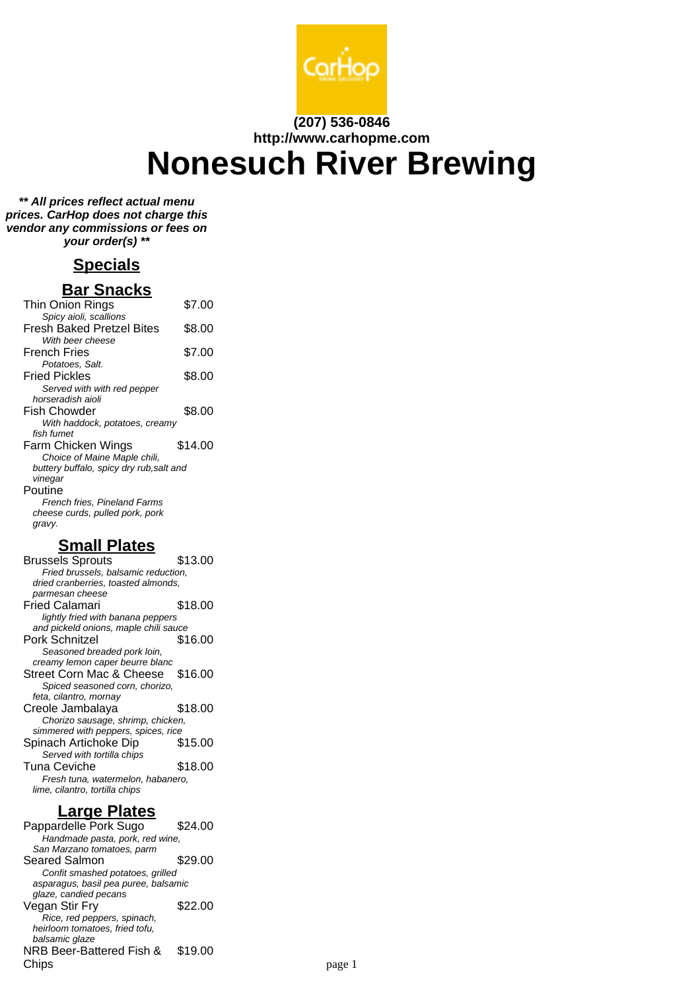

#### **(207) 536-0846 http://www.carhopme.com**

# **Nonesuch River Brewing**

**\*\* All prices reflect actual menu prices. CarHop does not charge this vendor any commissions or fees on your order(s) \*\***

## **Specials**

## **Bar Snacks**

| Thin Onion Rings                         | \$7.00  |
|------------------------------------------|---------|
| Spicy aioli, scallions                   |         |
| Fresh Baked Pretzel Bites                | \$8.00  |
| With beer cheese                         |         |
| French Fries                             | \$7.00  |
| Potatoes, Salt.                          |         |
| <b>Fried Pickles</b>                     | \$8.00  |
| Served with with red pepper              |         |
| horseradish aioli                        |         |
| Fish Chowder                             | \$8.00  |
| With haddock, potatoes, creamy           |         |
| fish fumet                               |         |
| Farm Chicken Wings                       | \$14.00 |
| Choice of Maine Maple chili,             |         |
| buttery buffalo, spicy dry rub, salt and |         |
| vinegar                                  |         |
| Poutine                                  |         |
| French fries, Pineland Farms             |         |
| cheese curds, pulled pork, pork          |         |
| gravy.                                   |         |

## **Small Plates**

| Brussels Sprouts                      | \$13.00 |
|---------------------------------------|---------|
| Fried brussels, balsamic reduction,   |         |
| dried cranberries, toasted almonds,   |         |
| parmesan cheese                       |         |
| Fried Calamari                        | \$18.00 |
| lightly fried with banana peppers     |         |
| and pickeld onions, maple chili sauce |         |
| Pork Schnitzel                        | \$16.00 |
| Seasoned breaded pork loin,           |         |
| creamy lemon caper beurre blanc       |         |
| Street Corn Mac & Cheese \$16.00      |         |
| Spiced seasoned corn, chorizo,        |         |
| feta, cilantro, mornay                |         |
| Creole Jambalaya                      | \$18.00 |
| Chorizo sausage, shrimp, chicken,     |         |
| simmered with peppers, spices, rice   |         |
| Spinach Artichoke Dip                 | \$15.00 |
| Served with tortilla chips            |         |
| Tuna Ceviche                          | \$18.00 |
| Fresh tuna, watermelon, habanero,     |         |
| lime, cilantro, tortilla chips        |         |

## **Large Plates**

Pappardelle Pork Sugo \$24.00 Handmade pasta, pork, red wine, San Marzano tomatoes, parm Seared Salmon \$29.00 Confit smashed potatoes, grilled asparagus, basil pea puree, balsamic glaze, candied pecans Vegan Stir Fry \$22.00 Rice, red peppers, spinach, heirloom tomatoes, fried tofu, balsamic glaze NRB Beer-Battered Fish & Chips \$19.00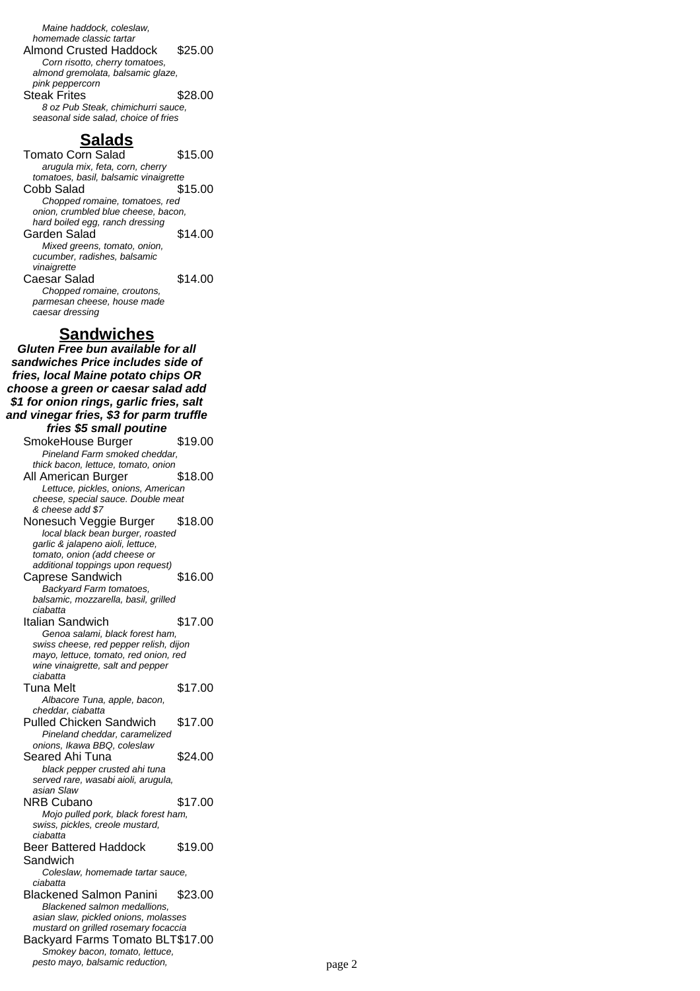Maine haddock, coleslaw, homemade classic tartar Almond Crusted Haddock \$25.00 Corn risotto, cherry tomatoes, almond gremolata, balsamic glaze, pink peppercorn Steak Frites \$28.00 8 oz Pub Steak, chimichurri sauce, seasonal side salad, choice of fries

## **Salads**

Tomato Corn Salad \$15.00 arugula mix, feta, corn, cherry tomatoes, basil, balsamic vinaigrette Cobb Salad \$15.00 Chopped romaine, tomatoes, red onion, crumbled blue cheese, bacon, hard boiled egg, ranch dressing Garden Salad \$14.00 Mixed greens, tomato, onion, cucumber, radishes, balsamic vinaigrette Caesar Salad \$14.00 Chopped romaine, croutons, parmesan cheese, house made caesar dressing

#### **Sandwiches**

**Gluten Free bun available for all sandwiches Price includes side of fries, local Maine potato chips OR choose a green or caesar salad add \$1 for onion rings, garlic fries, salt and vinegar fries, \$3 for parm truffle fries \$5 small poutine** SmokeHouse Burger \$19.00 Pineland Farm smoked cheddar, thick bacon, lettuce, tomato, onion All American Burger \$18.00 Lettuce, pickles, onions, American cheese, special sauce. Double meat & cheese add \$7 Nonesuch Veggie Burger \$18.00 local black bean burger, roasted garlic & jalapeno aioli, lettuce, tomato, onion (add cheese or additional toppings upon request) Caprese Sandwich \$16.00 Backyard Farm tomatoes, balsamic, mozzarella, basil, grilled ciabatta Italian Sandwich \$17.00 Genoa salami, black forest ham, swiss cheese, red pepper relish, dijon mayo, lettuce, tomato, red onion, red wine vinaigrette, salt and pepper ciabatta Tuna Melt \$17.00 Albacore Tuna, apple, bacon, cheddar, ciabatta Pulled Chicken Sandwich \$17.00 Pineland cheddar, caramelized onions, Ikawa BBQ, coleslaw Seared Ahi Tuna \$24.00 black pepper crusted ahi tuna served rare, wasabi aioli, arugula, asian Slaw NRB Cubano \$17.00 Mojo pulled pork, black forest ham, swiss, pickles, creole mustard, ciabatta Beer Battered Haddock Sandwich \$19.00 Coleslaw, homemade tartar sauce, ciabatta Blackened Salmon Panini \$23.00 Blackened salmon medallions, asian slaw, pickled onions, molasses mustard on grilled rosemary focaccia Backyard Farms Tomato BLT\$17.00 Smokey bacon, tomato, lettuce, pesto mayo, balsamic reduction, page 2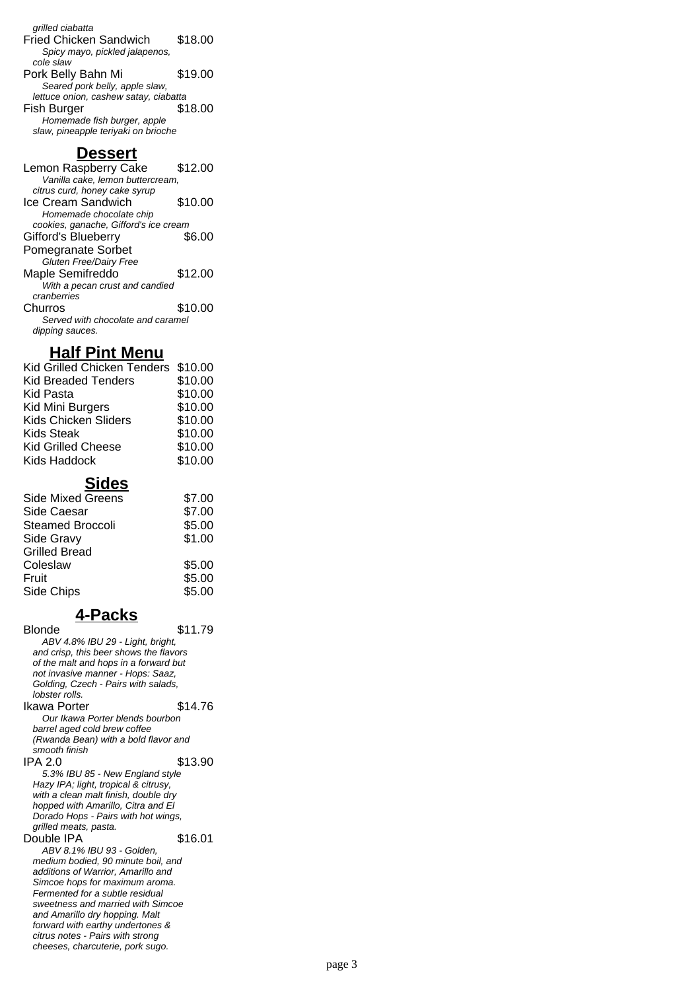| grilled ciabatta                      |         |
|---------------------------------------|---------|
| <b>Fried Chicken Sandwich</b>         | \$18.00 |
| Spicy mayo, pickled jalapenos,        |         |
| cole slaw                             |         |
| Pork Belly Bahn Mi                    | \$19.00 |
| Seared pork belly, apple slaw,        |         |
| lettuce onion, cashew satay, ciabatta |         |
| <b>Fish Burger</b>                    | \$18.00 |
| Homemade fish burger, apple           |         |
| slaw, pineapple teriyaki on brioche   |         |

#### **Dessert**

Lemon Raspberry Cake \$12.00 Vanilla cake, lemon buttercream, citrus curd, honey cake syrup Ice Cream Sandwich \$10.00 Homemade chocolate chip cookies, ganache, Gifford's ice cream Gifford's Blueberry Pomegranate Sorbet \$6.00 Gluten Free/Dairy Free Maple Semifreddo \$12.00 .<br>With a pecan crust and candied cranberries Churros \$10.00 Served with chocolate and caramel dipping sauces.

#### **Half Pint Menu**

| Kid Grilled Chicken Tenders \$10.00 |         |
|-------------------------------------|---------|
| <b>Kid Breaded Tenders</b>          | \$10.00 |
| Kid Pasta                           | \$10.00 |
| Kid Mini Burgers                    | \$10.00 |
| Kids Chicken Sliders                | \$10.00 |
| <b>Kids Steak</b>                   | \$10.00 |
| <b>Kid Grilled Cheese</b>           | \$10.00 |
| Kids Haddock                        | \$10.00 |

## **Sides**

| <b>Side Mixed Greens</b> | \$7.00 |
|--------------------------|--------|
| Side Caesar              | \$7.00 |
| <b>Steamed Broccoli</b>  | \$5.00 |
| Side Gravy               | \$1.00 |
| <b>Grilled Bread</b>     |        |
| Coleslaw                 | \$5.00 |
| Fruit                    | \$5.00 |
| Side Chips               | \$5.00 |
|                          |        |

## **4-Packs**

Blonde \$11.79 ABV 4.8% IBU 29 - Light, bright, and crisp, this beer shows the flavors of the malt and hops in a forward but not invasive manner - Hops: Saaz, Golding, Czech - Pairs with salads, lobster rolls. Ikawa Porter \$14.76 Our Ikawa Porter blends bourbon barrel aged cold brew coffee (Rwanda Bean) with a bold flavor and smooth finish IPA 2.0 \$13.90 5.3% IBU 85 - New England style Hazy IPA; light, tropical & citrusy, with a clean malt finish, double dry hopped with Amarillo, Citra and El Dorado Hops - Pairs with hot wings, grilled meats, pasta. Double IPA \$16.01 ABV 8.1% IBU 93 - Golden, medium bodied, 90 minute boil, and additions of Warrior, Amarillo and Simcoe hops for maximum aroma. Fermented for a subtle residual sweetness and married with Simcoe and Amarillo dry hopping. Malt forward with earthy undertones & citrus notes - Pairs with strong

cheeses, charcuterie, pork sugo.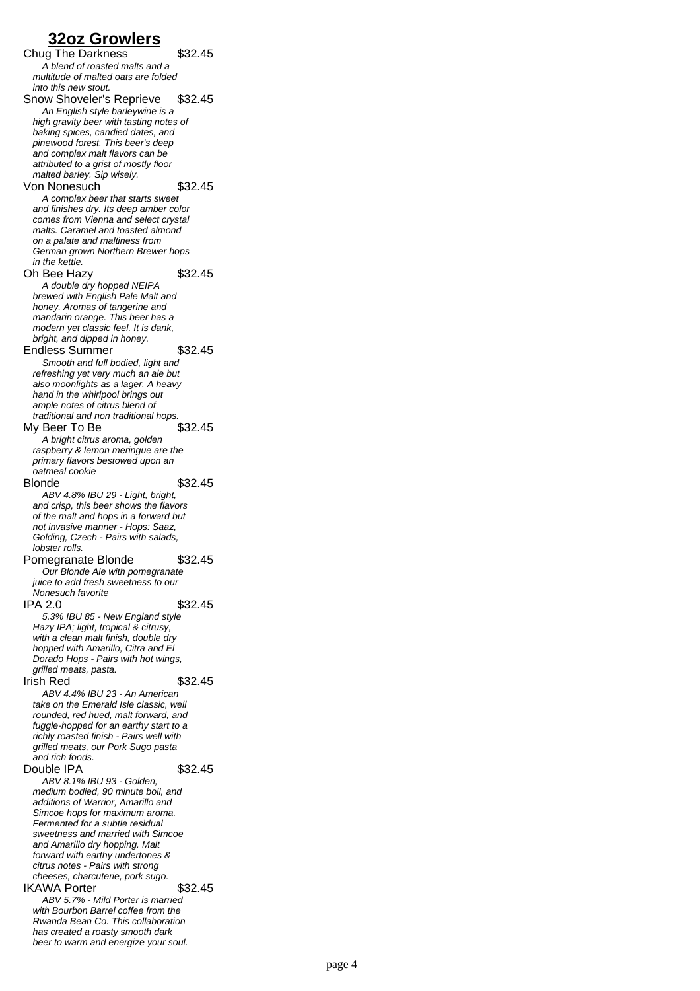## **32oz Growlers**

Chug The Darkness \$32.45 A blend of roasted malts and a multitude of malted oats are folded into this new stout. Snow Shoveler's Reprieve \$32.45 An English style barleywine is a high gravity beer with tasting notes of baking spices, candied dates, and pinewood forest. This beer's deep and complex malt flavors can be attributed to a grist of mostly floor malted barley. Sip wisely. Von Nonesuch \$32.45 A complex beer that starts sweet and finishes dry. Its deep amber color comes from Vienna and select crystal malts. Caramel and toasted almond on a palate and maltiness from German grown Northern Brewer hops in the kettle. Oh Bee Hazy \$32.45 A double dry hopped NEIPA brewed with English Pale Malt and honey. Aromas of tangerine and mandarin orange. This beer has a modern yet classic feel. It is dank, bright, and dipped in honey. Endless Summer \$32.45 Smooth and full bodied, light and refreshing yet very much an ale but also moonlights as a lager. A heavy hand in the whirlpool brings out ample notes of citrus blend of traditional and non traditional hops. My Beer To Be \$32.45 A bright citrus aroma, golden raspberry & lemon meringue are the primary flavors bestowed upon an oatmeal cookie Blonde \$32.45 ABV 4.8% IBU 29 - Light, bright, and crisp, this beer shows the flavors of the malt and hops in a forward but not invasive manner - Hops: Saaz, Golding, Czech - Pairs with salads, lobster rolls. Pomegranate Blonde \$32.45 Our Blonde Ale with pomegranate juice to add fresh sweetness to our Nonesuch favorite IPA 2.0 \$32.45 5.3% IBU 85 - New England style Hazy IPA; light, tropical & citrusy, with a clean malt finish, double dry hopped with Amarillo, Citra and El Dorado Hops - Pairs with hot wings, grilled meats, pasta. Irish Red \$32.45 ABV 4.4% IBU 23 - An American take on the Emerald Isle classic, well rounded, red hued, malt forward, and fuggle-hopped for an earthy start to a richly roasted finish - Pairs well with grilled meats, our Pork Sugo pasta and rich foods. Double IPA \$32.45 ABV 8.1% IBU 93 - Golden, medium bodied, 90 minute boil, and additions of Warrior, Amarillo and Simcoe hops for maximum aroma. Fermented for a subtle residual sweetness and married with Simcoe and Amarillo dry hopping. Malt forward with earthy undertones & citrus notes - Pairs with strong cheeses, charcuterie, pork sugo. IKAWA Porter \$32.45 ABV 5.7% - Mild Porter is married with Bourbon Barrel coffee from the Rwanda Bean Co. This collaboration has created a roasty smooth dark beer to warm and energize your soul.